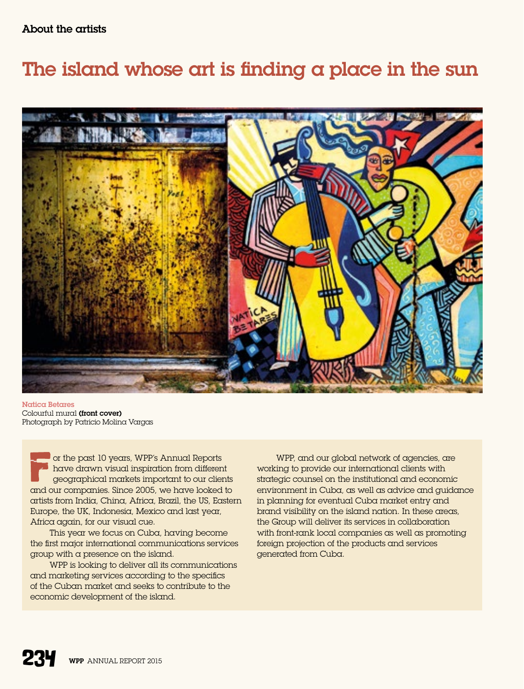## The island whose art is finding a place in the sun



Natica Betares Colourful mural (front cover) Photograph by Patricio Molina Vargas

or the past 10 years, WPP's Annual Reports have drawn visual inspiration from different geographical markets important to our clients and our companies. Since 2005, we have looked to artists from India, China, Africa, Brazil, the US, Eastern Europe, the UK, Indonesia, Mexico and last year, Africa again, for our visual cue.

This year we focus on Cuba, having become the first major international communications services group with a presence on the island.

WPP is looking to deliver all its communications and marketing services according to the specifics of the Cuban market and seeks to contribute to the economic development of the island.

WPP, and our global network of agencies, are working to provide our international clients with strategic counsel on the institutional and economic environment in Cuba, as well as advice and guidance in planning for eventual Cuba market entry and brand visibility on the island nation. In these areas, the Group will deliver its services in collaboration with front-rank local companies as well as promoting foreign projection of the products and services generated from Cuba.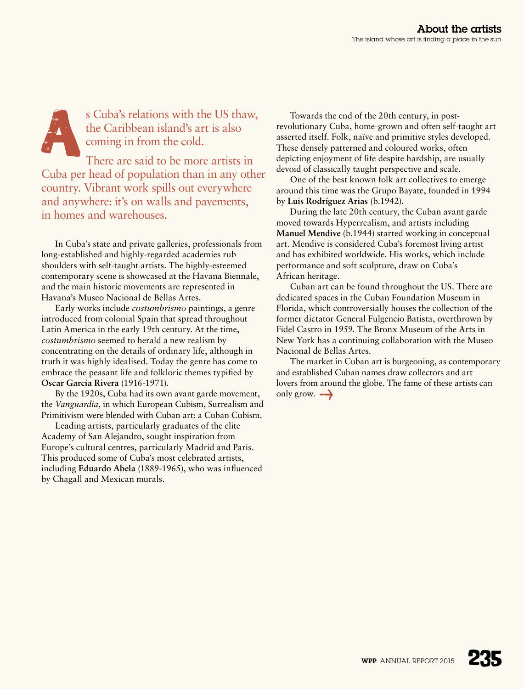s Cuba's relations with the US thaw, the Caribbean island's art is also coming in from the cold.

There are said to be more artists in Cuba per head of population than in any other country. Vibrant work spills out everywhere and anywhere: it's on walls and pavements, in homes and warehouses.

In Cuba's state and private galleries, professionals from long-established and highly-regarded academies rub shoulders with self-taught artists. The highly-esteemed contemporary scene is showcased at the Havana Biennale, and the main historic movements are represented in Havana's Museo Nacional de Bellas Artes.

Early works include *costumbrismo* paintings, a genre introduced from colonial Spain that spread throughout Latin America in the early 19th century. At the time, *costumbrismo* seemed to herald a new realism by concentrating on the details of ordinary life, although in truth it was highly idealised. Today the genre has come to embrace the peasant life and folkloric themes typified by **Oscar García Rivera** (1916-1971).

By the 1920s, Cuba had its own avant garde movement, the *Vanguardia*, in which European Cubism, Surrealism and Primitivism were blended with Cuban art: a Cuban Cubism.

Leading artists, particularly graduates of the elite Academy of San Alejandro, sought inspiration from Europe's cultural centres, particularly Madrid and Paris. This produced some of Cuba's most celebrated artists, including **Eduardo Abela** (1889-1965), who was influenced by Chagall and Mexican murals.

Towards the end of the 20th century, in postrevolutionary Cuba, home-grown and often self-taught art asserted itself. Folk, naïve and primitive styles developed. These densely patterned and coloured works, often depicting enjoyment of life despite hardship, are usually devoid of classically taught perspective and scale.

One of the best known folk art collectives to emerge around this time was the Grupo Bayate, founded in 1994 by **Luis Rodríguez Arias** (b.1942).

During the late 20th century, the Cuban avant garde moved towards Hyperrealism, and artists including **Manuel Mendive** (b.1944) started working in conceptual art. Mendive is considered Cuba's foremost living artist and has exhibited worldwide. His works, which include performance and soft sculpture, draw on Cuba's African heritage.

Cuban art can be found throughout the US. There are dedicated spaces in the Cuban Foundation Museum in Florida, which controversially houses the collection of the former dictator General Fulgencio Batista, overthrown by Fidel Castro in 1959. The Bronx Museum of the Arts in New York has a continuing collaboration with the Museo Nacional de Bellas Artes.

The market in Cuban art is burgeoning, as contemporary and established Cuban names draw collectors and art lovers from around the globe. The fame of these artists can only grow.  $\rightarrow$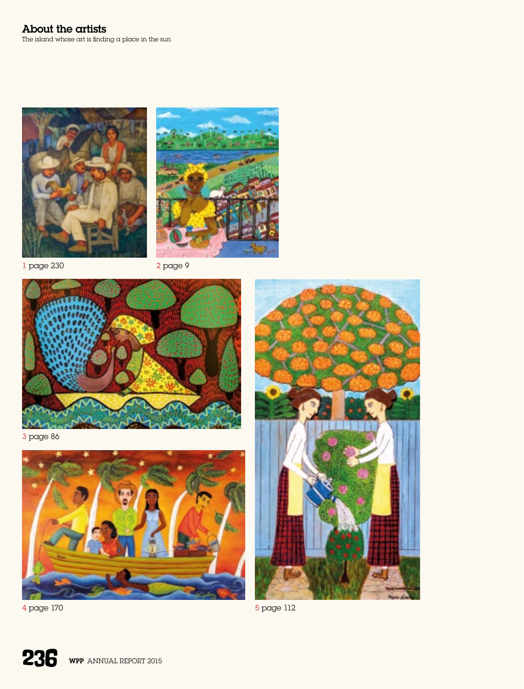



1 page 230 2 page 9



3 page 86